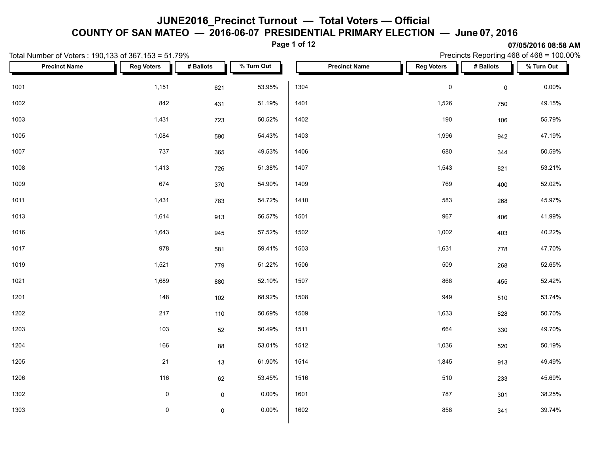**COUNTY OF SAN MATEO — 2016-06-07 PRESIDENTIAL PRIMARY ELECTION — June 07, 2016**

**Page 1 of 12**

|      | Total Number of Voters: 190,133 of 367,153 = 51.79% |                     |                     |            | Precincts Reporting 468 of 468 = 100.00% |                      |                   |                     |            |  |
|------|-----------------------------------------------------|---------------------|---------------------|------------|------------------------------------------|----------------------|-------------------|---------------------|------------|--|
|      | <b>Precinct Name</b>                                | <b>Reg Voters</b>   | # Ballots           | % Turn Out |                                          | <b>Precinct Name</b> | <b>Reg Voters</b> | # Ballots           | % Turn Out |  |
| 1001 |                                                     | 1,151               | 621                 | 53.95%     | 1304                                     |                      | $\pmb{0}$         | $\mathsf{O}\xspace$ | $0.00\%$   |  |
| 1002 |                                                     | 842                 | 431                 | 51.19%     | 1401                                     |                      | 1,526             | 750                 | 49.15%     |  |
| 1003 |                                                     | 1,431               | 723                 | 50.52%     | 1402                                     |                      | 190               | 106                 | 55.79%     |  |
| 1005 |                                                     | 1,084               | 590                 | 54.43%     | 1403                                     |                      | 1,996             | 942                 | 47.19%     |  |
| 1007 |                                                     | 737                 | 365                 | 49.53%     | 1406                                     |                      | 680               | 344                 | 50.59%     |  |
| 1008 |                                                     | 1,413               | 726                 | 51.38%     | 1407                                     |                      | 1,543             | 821                 | 53.21%     |  |
| 1009 |                                                     | 674                 | 370                 | 54.90%     | 1409                                     |                      | 769               | 400                 | 52.02%     |  |
| 1011 |                                                     | 1,431               | 783                 | 54.72%     | 1410                                     |                      | 583               | 268                 | 45.97%     |  |
| 1013 |                                                     | 1,614               | 913                 | 56.57%     | 1501                                     |                      | 967               | 406                 | 41.99%     |  |
| 1016 |                                                     | 1,643               | 945                 | 57.52%     | 1502                                     |                      | 1,002             | 403                 | 40.22%     |  |
| 1017 |                                                     | 978                 | 581                 | 59.41%     | 1503                                     |                      | 1,631             | 778                 | 47.70%     |  |
| 1019 |                                                     | 1,521               | 779                 | 51.22%     | 1506                                     |                      | 509               | 268                 | 52.65%     |  |
| 1021 |                                                     | 1,689               | 880                 | 52.10%     | 1507                                     |                      | 868               | 455                 | 52.42%     |  |
| 1201 |                                                     | 148                 | 102                 | 68.92%     | 1508                                     |                      | 949               | 510                 | 53.74%     |  |
| 1202 |                                                     | 217                 | 110                 | 50.69%     | 1509                                     |                      | 1,633             | 828                 | 50.70%     |  |
| 1203 |                                                     | 103                 | 52                  | 50.49%     | 1511                                     |                      | 664               | 330                 | 49.70%     |  |
| 1204 |                                                     | 166                 | 88                  | 53.01%     | 1512                                     |                      | 1,036             | 520                 | 50.19%     |  |
| 1205 |                                                     | 21                  | $13$                | 61.90%     | 1514                                     |                      | 1,845             | 913                 | 49.49%     |  |
| 1206 |                                                     | 116                 | 62                  | 53.45%     | 1516                                     |                      | 510               | 233                 | 45.69%     |  |
| 1302 |                                                     | $\mathbf 0$         | $\mathsf{O}\xspace$ | 0.00%      | 1601                                     |                      | 787               | 301                 | 38.25%     |  |
| 1303 |                                                     | $\mathsf{O}\xspace$ | $\mathsf{O}\xspace$ | 0.00%      | 1602                                     |                      | 858               | 341                 | 39.74%     |  |
|      |                                                     |                     |                     |            |                                          |                      |                   |                     |            |  |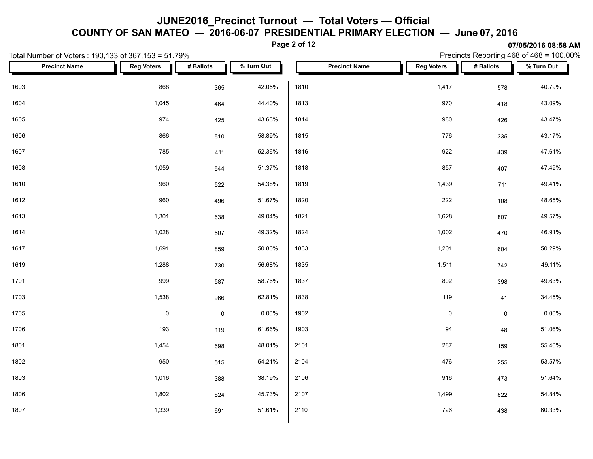**COUNTY OF SAN MATEO — 2016-06-07 PRESIDENTIAL PRIMARY ELECTION — June 07, 2016**

**Page 2 of 12**

| Total Number of Voters: 190,133 of 367,153 = 51.79% |                           |             |            |                      |                   | Precincts Reporting 468 of 468 = 100.00% |            |  |  |  |  |
|-----------------------------------------------------|---------------------------|-------------|------------|----------------------|-------------------|------------------------------------------|------------|--|--|--|--|
| <b>Precinct Name</b>                                | <b>Reg Voters</b><br>a ka | # Ballots   | % Turn Out | <b>Precinct Name</b> | <b>Reg Voters</b> | # Ballots                                | % Turn Out |  |  |  |  |
| 1603                                                | 868                       | 365         | 42.05%     | 1810                 | 1,417             | 578                                      | 40.79%     |  |  |  |  |
| 1604                                                | 1,045                     | 464         | 44.40%     | 1813                 | 970               | 418                                      | 43.09%     |  |  |  |  |
| 1605                                                | 974                       | 425         | 43.63%     | 1814                 | 980               | 426                                      | 43.47%     |  |  |  |  |
| 1606                                                | 866                       | 510         | 58.89%     | 1815                 | 776               | 335                                      | 43.17%     |  |  |  |  |
| 1607                                                | 785                       | 411         | 52.36%     | 1816                 | 922               | 439                                      | 47.61%     |  |  |  |  |
| 1608                                                | 1,059                     | 544         | 51.37%     | 1818                 | 857               | 407                                      | 47.49%     |  |  |  |  |
| 1610                                                | 960                       | 522         | 54.38%     | 1819                 | 1,439             | 711                                      | 49.41%     |  |  |  |  |
| 1612                                                | 960                       | 496         | 51.67%     | 1820                 | 222               | 108                                      | 48.65%     |  |  |  |  |
| 1613                                                | 1,301                     | 638         | 49.04%     | 1821                 | 1,628             | 807                                      | 49.57%     |  |  |  |  |
| 1614                                                | 1,028                     | 507         | 49.32%     | 1824                 | 1,002             | 470                                      | 46.91%     |  |  |  |  |
| 1617                                                | 1,691                     | 859         | 50.80%     | 1833                 | 1,201             | 604                                      | 50.29%     |  |  |  |  |
| 1619                                                | 1,288                     | 730         | 56.68%     | 1835                 | 1,511             | 742                                      | 49.11%     |  |  |  |  |
| 1701                                                | 999                       | 587         | 58.76%     | 1837                 | 802               | 398                                      | 49.63%     |  |  |  |  |
| 1703                                                | 1,538                     | 966         | 62.81%     | 1838                 | 119               | 41                                       | 34.45%     |  |  |  |  |
| 1705                                                | $\pmb{0}$                 | $\mathbf 0$ | 0.00%      | 1902                 | $\pmb{0}$         | $\mathsf{O}\xspace$                      | $0.00\%$   |  |  |  |  |
| 1706                                                | 193                       | 119         | 61.66%     | 1903                 | 94                | 48                                       | 51.06%     |  |  |  |  |
| 1801                                                | 1,454                     | 698         | 48.01%     | 2101                 | 287               | 159                                      | 55.40%     |  |  |  |  |
| 1802                                                | 950                       | 515         | 54.21%     | 2104                 | 476               | 255                                      | 53.57%     |  |  |  |  |
| 1803                                                | 1,016                     | 388         | 38.19%     | 2106                 | 916               | 473                                      | 51.64%     |  |  |  |  |
| 1806                                                | 1,802                     | 824         | 45.73%     | 2107                 | 1,499             | 822                                      | 54.84%     |  |  |  |  |
| 1807                                                | 1,339                     | 691         | 51.61%     | 2110                 | 726               | 438                                      | 60.33%     |  |  |  |  |
|                                                     |                           |             |            |                      |                   |                                          |            |  |  |  |  |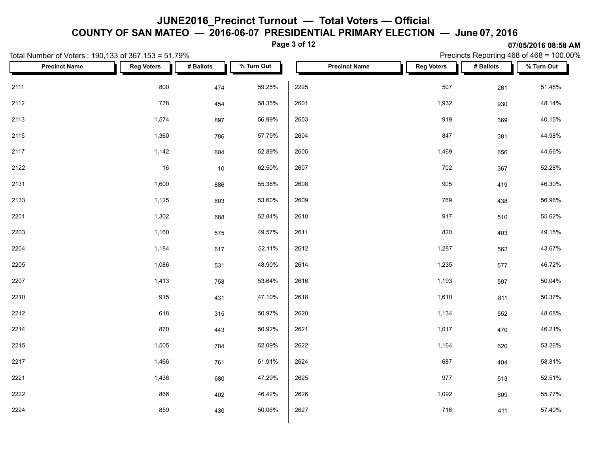**COUNTY OF SAN MATEO — 2016-06-07 PRESIDENTIAL PRIMARY ELECTION — June 07, 2016**

**Page 3 of 12**

|      | Total Number of Voters: 190,133 of 367,153 = 51.79% |                   |           |            | Precincts Reporting 468 of 468 = 100.00% |                      |                   |           |            |
|------|-----------------------------------------------------|-------------------|-----------|------------|------------------------------------------|----------------------|-------------------|-----------|------------|
|      | <b>Precinct Name</b>                                | <b>Reg Voters</b> | # Ballots | % Turn Out |                                          | <b>Precinct Name</b> | <b>Reg Voters</b> | # Ballots | % Turn Out |
| 2111 |                                                     | 800               | 474       | 59.25%     | 2225                                     |                      | 507               | 261       | 51.48%     |
| 2112 |                                                     | 778               | 454       | 58.35%     | 2601                                     |                      | 1,932             | 930       | 48.14%     |
| 2113 |                                                     | 1,574             | 897       | 56.99%     | 2603                                     |                      | 919               | 369       | 40.15%     |
| 2115 |                                                     | 1,360             | 786       | 57.79%     | 2604                                     |                      | 847               | 381       | 44.98%     |
| 2117 |                                                     | 1,142             | 604       | 52.89%     | 2605                                     |                      | 1,469             | 656       | 44.66%     |
| 2122 |                                                     | 16                | $10$      | 62.50%     | 2607                                     |                      | 702               | 367       | 52.28%     |
| 2131 |                                                     | 1,600             | 886       | 55.38%     | 2608                                     |                      | 905               | 419       | 46.30%     |
| 2133 |                                                     | 1,125             | 603       | 53.60%     | 2609                                     |                      | 769               | 438       | 56.96%     |
| 2201 |                                                     | 1,302             | 688       | 52.84%     | 2610                                     |                      | 917               | 510       | 55.62%     |
| 2203 |                                                     | 1,160             | 575       | 49.57%     | 2611                                     |                      | 820               | 403       | 49.15%     |
| 2204 |                                                     | 1,184             | 617       | 52.11%     | 2612                                     |                      | 1,287             | 562       | 43.67%     |
| 2205 |                                                     | 1,086             | 531       | 48.90%     | 2614                                     |                      | 1,235             | 577       | 46.72%     |
| 2207 |                                                     | 1,413             | 758       | 53.64%     | 2616                                     |                      | 1,193             | 597       | 50.04%     |
| 2210 |                                                     | 915               | 431       | 47.10%     | 2618                                     |                      | 1,610             | 811       | 50.37%     |
| 2212 |                                                     | 618               | 315       | 50.97%     | 2620                                     |                      | 1,134             | 552       | 48.68%     |
| 2214 |                                                     | 870               | 443       | 50.92%     | 2621                                     |                      | 1,017             | 470       | 46.21%     |
| 2215 |                                                     | 1,505             | 784       | 52.09%     | 2622                                     |                      | 1,164             | 620       | 53.26%     |
| 2217 |                                                     | 1,466             | 761       | 51.91%     | 2624                                     |                      | 687               | 404       | 58.81%     |
| 2221 |                                                     | 1,438             | 680       | 47.29%     | 2625                                     |                      | 977               | 513       | 52.51%     |
| 2222 |                                                     | 866               | 402       | 46.42%     | 2626                                     |                      | 1,092             | 609       | 55.77%     |
| 2224 |                                                     | 859               | 430       | 50.06%     | 2627                                     |                      | 716               | 411       | 57.40%     |
|      |                                                     |                   |           |            |                                          |                      |                   |           |            |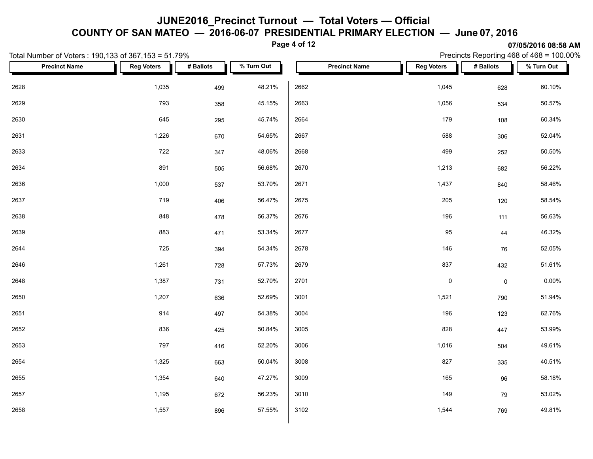**COUNTY OF SAN MATEO — 2016-06-07 PRESIDENTIAL PRIMARY ELECTION — June 07, 2016**

**Page 4 of 12**

|      | Total Number of Voters: 190,133 of 367,153 = 51.79% |                   |           |            |      | Precincts Reporting 468 of 468 = 100.00% |                   |                     |            |
|------|-----------------------------------------------------|-------------------|-----------|------------|------|------------------------------------------|-------------------|---------------------|------------|
|      | <b>Precinct Name</b>                                | <b>Reg Voters</b> | # Ballots | % Turn Out |      | <b>Precinct Name</b>                     | <b>Reg Voters</b> | # Ballots           | % Turn Out |
| 2628 |                                                     | 1,035             | 499       | 48.21%     | 2662 |                                          | 1,045             | 628                 | 60.10%     |
| 2629 |                                                     | 793               | 358       | 45.15%     | 2663 |                                          | 1,056             | 534                 | 50.57%     |
| 2630 |                                                     | 645               | 295       | 45.74%     | 2664 |                                          | 179               | 108                 | 60.34%     |
| 2631 |                                                     | 1,226             | 670       | 54.65%     | 2667 |                                          | 588               | 306                 | 52.04%     |
| 2633 |                                                     | 722               | 347       | 48.06%     | 2668 |                                          | 499               | 252                 | 50.50%     |
| 2634 |                                                     | 891               | 505       | 56.68%     | 2670 |                                          | 1,213             | 682                 | 56.22%     |
| 2636 |                                                     | 1,000             | 537       | 53.70%     | 2671 |                                          | 1,437             | 840                 | 58.46%     |
| 2637 |                                                     | 719               | 406       | 56.47%     | 2675 |                                          | 205               | 120                 | 58.54%     |
| 2638 |                                                     | 848               | 478       | 56.37%     | 2676 |                                          | 196               | 111                 | 56.63%     |
| 2639 |                                                     | 883               | 471       | 53.34%     | 2677 |                                          | 95                | 44                  | 46.32%     |
| 2644 |                                                     | 725               | 394       | 54.34%     | 2678 |                                          | 146               | 76                  | 52.05%     |
| 2646 |                                                     | 1,261             | 728       | 57.73%     | 2679 |                                          | 837               | 432                 | 51.61%     |
| 2648 |                                                     | 1,387             | 731       | 52.70%     | 2701 |                                          | $\pmb{0}$         | $\mathsf{O}\xspace$ | $0.00\%$   |
| 2650 |                                                     | 1,207             | 636       | 52.69%     | 3001 |                                          | 1,521             | 790                 | 51.94%     |
| 2651 |                                                     | 914               | 497       | 54.38%     | 3004 |                                          | 196               | 123                 | 62.76%     |
| 2652 |                                                     | 836               | 425       | 50.84%     | 3005 |                                          | 828               | 447                 | 53.99%     |
| 2653 |                                                     | 797               | 416       | 52.20%     | 3006 |                                          | 1,016             | 504                 | 49.61%     |
| 2654 |                                                     | 1,325             | 663       | 50.04%     | 3008 |                                          | 827               | 335                 | 40.51%     |
| 2655 |                                                     | 1,354             | 640       | 47.27%     | 3009 |                                          | 165               | 96                  | 58.18%     |
| 2657 |                                                     | 1,195             | 672       | 56.23%     | 3010 |                                          | 149               | 79                  | 53.02%     |
| 2658 |                                                     | 1,557             | 896       | 57.55%     | 3102 |                                          | 1,544             | 769                 | 49.81%     |
|      |                                                     |                   |           |            |      |                                          |                   |                     |            |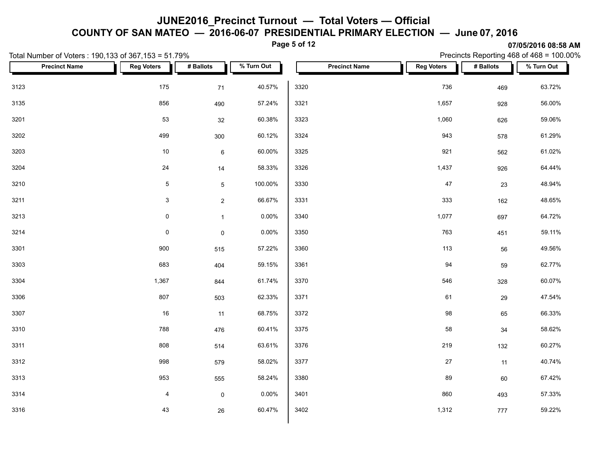**COUNTY OF SAN MATEO — 2016-06-07 PRESIDENTIAL PRIMARY ELECTION — June 07, 2016**

**Page 5 of 12**

| Total Number of Voters: 190,133 of 367,153 = 51.79% |                     |                 | Precincts Reporting 468 of $468 = 100.00\%$ |                      |                   |           |            |
|-----------------------------------------------------|---------------------|-----------------|---------------------------------------------|----------------------|-------------------|-----------|------------|
| <b>Precinct Name</b>                                | <b>Reg Voters</b>   | # Ballots       | % Turn Out                                  | <b>Precinct Name</b> | <b>Reg Voters</b> | # Ballots | % Turn Out |
| 3123                                                | 175                 | 71              | 40.57%                                      | 3320                 | 736               | 469       | 63.72%     |
| 3135                                                | 856                 | 490             | 57.24%                                      | 3321                 | 1,657             | 928       | 56.00%     |
| 3201                                                | 53                  | 32              | 60.38%                                      | 3323                 | 1,060             | 626       | 59.06%     |
| 3202                                                | 499                 | 300             | 60.12%                                      | 3324                 | 943               | 578       | 61.29%     |
| 3203                                                | 10                  | $6\phantom{.0}$ | 60.00%                                      | 3325                 | 921               | 562       | 61.02%     |
| 3204                                                | 24                  | 14              | 58.33%                                      | 3326                 | 1,437             | 926       | 64.44%     |
| 3210                                                | $\overline{5}$      | 5               | 100.00%                                     | 3330                 | $47\,$            | 23        | 48.94%     |
| 3211                                                | $\mathbf{3}$        | $\overline{2}$  | 66.67%                                      | 3331                 | 333               | 162       | 48.65%     |
| 3213                                                | $\mathsf{O}\xspace$ | 1               | 0.00%                                       | 3340                 | 1,077             | 697       | 64.72%     |
| 3214                                                | $\mathsf{O}\xspace$ | $\mathbf 0$     | 0.00%                                       | 3350                 | 763               | 451       | 59.11%     |
| 3301                                                | 900                 | 515             | 57.22%                                      | 3360                 | 113               | 56        | 49.56%     |
| 3303                                                | 683                 | 404             | 59.15%                                      | 3361                 | 94                | 59        | 62.77%     |
| 3304                                                | 1,367               | 844             | 61.74%                                      | 3370                 | 546               | 328       | 60.07%     |
| 3306                                                | 807                 | 503             | 62.33%                                      | 3371                 | 61                | 29        | 47.54%     |
| 3307                                                | 16                  | 11              | 68.75%                                      | 3372                 | 98                | 65        | 66.33%     |
| 3310                                                | 788                 | 476             | 60.41%                                      | 3375                 | 58                | 34        | 58.62%     |
| 3311                                                | 808                 | 514             | 63.61%                                      | 3376                 | 219               | 132       | 60.27%     |
| 3312                                                | 998                 | 579             | 58.02%                                      | 3377                 | 27                | 11        | 40.74%     |
| 3313                                                | 953                 | 555             | 58.24%                                      | 3380                 | 89                | 60        | 67.42%     |
| 3314                                                | 4                   | $\mathbf 0$     | $0.00\%$                                    | 3401                 | 860               | 493       | 57.33%     |
| 3316                                                | 43                  | 26              | 60.47%                                      | 3402                 | 1,312             | 777       | 59.22%     |
|                                                     |                     |                 |                                             |                      |                   |           |            |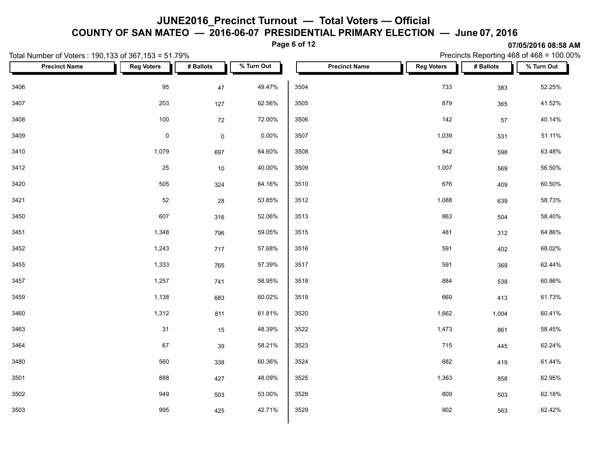**COUNTY OF SAN MATEO — 2016-06-07 PRESIDENTIAL PRIMARY ELECTION — June 07, 2016**

**Page 6 of 12**

|      | Total Number of Voters: 190,133 of 367,153 = 51.79% |                   |             |            | Precincts Reporting 468 of 468 = 100.00% |                      |                   |           |            |  |
|------|-----------------------------------------------------|-------------------|-------------|------------|------------------------------------------|----------------------|-------------------|-----------|------------|--|
|      | <b>Precinct Name</b>                                | <b>Reg Voters</b> | # Ballots   | % Turn Out |                                          | <b>Precinct Name</b> | <b>Reg Voters</b> | # Ballots | % Turn Out |  |
| 3406 |                                                     | 95                | 47          | 49.47%     | 3504                                     |                      | 733               | 383       | 52.25%     |  |
| 3407 |                                                     | 203               | 127         | 62.56%     | 3505                                     |                      | 879               | 365       | 41.52%     |  |
| 3408 |                                                     | 100               | 72          | 72.00%     | 3506                                     |                      | 142               | $57\,$    | 40.14%     |  |
| 3409 |                                                     | $\mathsf{O}$      | $\mathsf 0$ | 0.00%      | 3507                                     |                      | 1,039             | 531       | 51.11%     |  |
| 3410 |                                                     | 1,079             | 697         | 64.60%     | 3508                                     |                      | 942               | 598       | 63.48%     |  |
| 3412 |                                                     | 25                | 10          | 40.00%     | 3509                                     |                      | 1,007             | 569       | 56.50%     |  |
| 3420 |                                                     | 505               | 324         | 64.16%     | 3510                                     |                      | 676               | 409       | 60.50%     |  |
| 3421 |                                                     | 52                | 28          | 53.85%     | 3512                                     |                      | 1,088             | 639       | 58.73%     |  |
| 3450 |                                                     | 607               | 316         | 52.06%     | 3513                                     |                      | 863               | 504       | 58.40%     |  |
| 3451 |                                                     | 1,348             | 796         | 59.05%     | 3515                                     |                      | 481               | 312       | 64.86%     |  |
| 3452 |                                                     | 1,243             | 717         | 57.68%     | 3516                                     |                      | 591               | 402       | 68.02%     |  |
| 3455 |                                                     | 1,333             | 765         | 57.39%     | 3517                                     |                      | 591               | 369       | 62.44%     |  |
| 3457 |                                                     | 1,257             | 741         | 58.95%     | 3518                                     |                      | 884               | 538       | 60.86%     |  |
| 3459 |                                                     | 1,138             | 683         | 60.02%     | 3519                                     |                      | 669               | 413       | 61.73%     |  |
| 3460 |                                                     | 1,312             | 811         | 61.81%     | 3520                                     |                      | 1,662             | 1,004     | 60.41%     |  |
| 3463 |                                                     | 31                | 15          | 48.39%     | 3522                                     |                      | 1,473             | 861       | 58.45%     |  |
| 3464 |                                                     | 67                | 39          | 58.21%     | 3523                                     |                      | 715               | 445       | 62.24%     |  |
| 3480 |                                                     | 560               | 338         | 60.36%     | 3524                                     |                      | 682               | 419       | 61.44%     |  |
| 3501 |                                                     | 888               | 427         | 48.09%     | 3525                                     |                      | 1,363             | 858       | 62.95%     |  |
| 3502 |                                                     | 949               | 503         | 53.00%     | 3528                                     |                      | 809               | 503       | 62.18%     |  |
| 3503 |                                                     | 995               | 425         | 42.71%     | 3529                                     |                      | 902               | 563       | 62.42%     |  |
|      |                                                     |                   |             |            |                                          |                      |                   |           |            |  |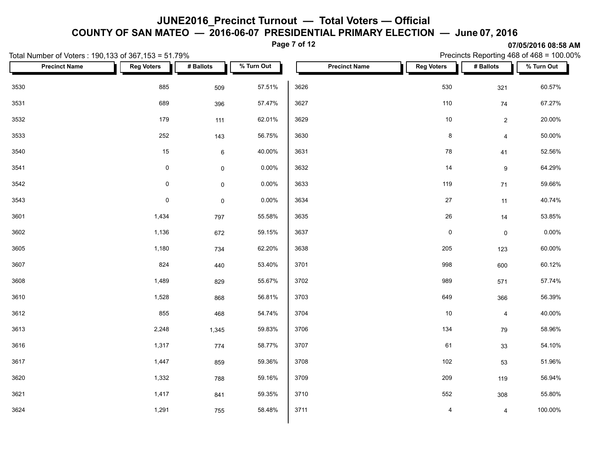**COUNTY OF SAN MATEO — 2016-06-07 PRESIDENTIAL PRIMARY ELECTION — June 07, 2016**

**Page 7 of 12**

|      | Total Number of Voters: 190,133 of 367,153 = 51.79% |                     |                     |            |      |                      | Precincts Reporting 468 of 468 = 100.00% |                     |            |  |  |
|------|-----------------------------------------------------|---------------------|---------------------|------------|------|----------------------|------------------------------------------|---------------------|------------|--|--|
|      | <b>Precinct Name</b>                                | <b>Reg Voters</b>   | # Ballots           | % Turn Out |      | <b>Precinct Name</b> | <b>Reg Voters</b>                        | # Ballots           | % Turn Out |  |  |
| 3530 |                                                     | 885                 | 509                 | 57.51%     | 3626 |                      | 530                                      | 321                 | 60.57%     |  |  |
| 3531 |                                                     | 689                 | 396                 | 57.47%     | 3627 |                      | 110                                      | 74                  | 67.27%     |  |  |
| 3532 |                                                     | 179                 | 111                 | 62.01%     | 3629 |                      | $10\,$                                   | $\overline{2}$      | 20.00%     |  |  |
| 3533 |                                                     | 252                 | 143                 | 56.75%     | 3630 |                      | $\bf 8$                                  | $\overline{4}$      | 50.00%     |  |  |
| 3540 |                                                     | 15                  | $\,6\,$             | 40.00%     | 3631 |                      | 78                                       | 41                  | 52.56%     |  |  |
| 3541 |                                                     | $\mathbf 0$         | $\mathsf{O}\xspace$ | 0.00%      | 3632 |                      | 14                                       | $\boldsymbol{9}$    | 64.29%     |  |  |
| 3542 |                                                     | $\mathsf{O}\xspace$ | $\mathsf{O}\xspace$ | 0.00%      | 3633 |                      | 119                                      | 71                  | 59.66%     |  |  |
| 3543 |                                                     | $\pmb{0}$           | $\mathsf{O}\xspace$ | 0.00%      | 3634 |                      | $27\,$                                   | 11                  | 40.74%     |  |  |
| 3601 |                                                     | 1,434               | 797                 | 55.58%     | 3635 |                      | ${\bf 26}$                               | 14                  | 53.85%     |  |  |
| 3602 |                                                     | 1,136               | 672                 | 59.15%     | 3637 |                      | $\mathsf 0$                              | $\mathsf{O}\xspace$ | $0.00\%$   |  |  |
| 3605 |                                                     | 1,180               | 734                 | 62.20%     | 3638 |                      | 205                                      | 123                 | 60.00%     |  |  |
| 3607 |                                                     | 824                 | 440                 | 53.40%     | 3701 |                      | 998                                      | 600                 | 60.12%     |  |  |
| 3608 |                                                     | 1,489               | 829                 | 55.67%     | 3702 |                      | 989                                      | 571                 | 57.74%     |  |  |
| 3610 |                                                     | 1,528               | 868                 | 56.81%     | 3703 |                      | 649                                      | 366                 | 56.39%     |  |  |
| 3612 |                                                     | 855                 | 468                 | 54.74%     | 3704 |                      | 10                                       | $\overline{4}$      | 40.00%     |  |  |
| 3613 |                                                     | 2,248               | 1,345               | 59.83%     | 3706 |                      | 134                                      | 79                  | 58.96%     |  |  |
| 3616 |                                                     | 1,317               | 774                 | 58.77%     | 3707 |                      | 61                                       | 33                  | 54.10%     |  |  |
| 3617 |                                                     | 1,447               | 859                 | 59.36%     | 3708 |                      | 102                                      | 53                  | 51.96%     |  |  |
| 3620 |                                                     | 1,332               | 788                 | 59.16%     | 3709 |                      | 209                                      | 119                 | 56.94%     |  |  |
| 3621 |                                                     | 1,417               | 841                 | 59.35%     | 3710 |                      | 552                                      | 308                 | 55.80%     |  |  |
| 3624 |                                                     | 1,291               | 755                 | 58.48%     | 3711 |                      | 4                                        | 4                   | 100.00%    |  |  |
|      |                                                     |                     |                     |            |      |                      |                                          |                     |            |  |  |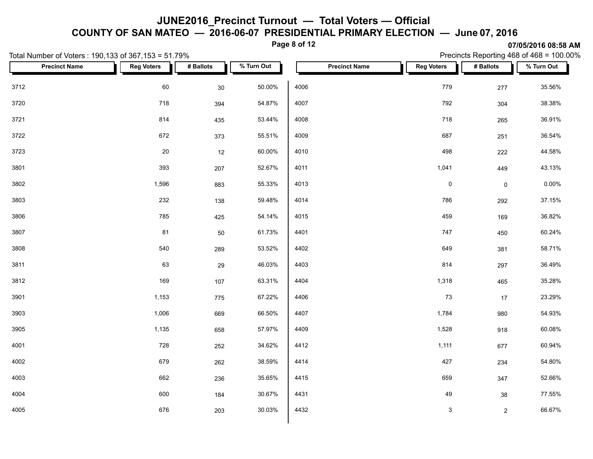**COUNTY OF SAN MATEO — 2016-06-07 PRESIDENTIAL PRIMARY ELECTION — June 07, 2016**

**Page 8 of 12**

| Total Number of Voters: 190,133 of 367,153 = 51.79% |                   |           |            | Precincts Reporting 468 of 468 = 100.00% |                   |                     |            |  |  |
|-----------------------------------------------------|-------------------|-----------|------------|------------------------------------------|-------------------|---------------------|------------|--|--|
| <b>Precinct Name</b>                                | <b>Reg Voters</b> | # Ballots | % Turn Out | <b>Precinct Name</b>                     | <b>Reg Voters</b> | # Ballots           | % Turn Out |  |  |
| 3712                                                | 60                | 30        | 50.00%     | 4006                                     | 779               | 277                 | 35.56%     |  |  |
| 3720                                                | 718               | 394       | 54.87%     | 4007                                     | 792               | 304                 | 38.38%     |  |  |
| 3721                                                | 814               | 435       | 53.44%     | 4008                                     | 718               | 265                 | 36.91%     |  |  |
| 3722                                                | 672               | 373       | 55.51%     | 4009                                     | 687               | 251                 | 36.54%     |  |  |
| 3723                                                | $20\,$            | 12        | 60.00%     | 4010                                     | 498               | 222                 | 44.58%     |  |  |
| 3801                                                | 393               | 207       | 52.67%     | 4011                                     | 1,041             | 449                 | 43.13%     |  |  |
| 3802                                                | 1,596             | 883       | 55.33%     | 4013                                     | $\pmb{0}$         | $\mathsf{O}\xspace$ | $0.00\%$   |  |  |
| 3803                                                | 232               | 138       | 59.48%     | 4014                                     | 786               | 292                 | 37.15%     |  |  |
| 3806                                                | 785               | 425       | 54.14%     | 4015                                     | 459               | 169                 | 36.82%     |  |  |
| 3807                                                | 81                | 50        | 61.73%     | 4401                                     | 747               | 450                 | 60.24%     |  |  |
| 3808                                                | 540               | 289       | 53.52%     | 4402                                     | 649               | 381                 | 58.71%     |  |  |
| 3811                                                | 63                | 29        | 46.03%     | 4403                                     | 814               | 297                 | 36.49%     |  |  |
| 3812                                                | 169               | 107       | 63.31%     | 4404                                     | 1,318             | 465                 | 35.28%     |  |  |
| 3901                                                | 1,153             | 775       | 67.22%     | 4406                                     | 73                | 17                  | 23.29%     |  |  |
| 3903                                                | 1,006             | 669       | 66.50%     | 4407                                     | 1,784             | 980                 | 54.93%     |  |  |
| 3905                                                | 1,135             | 658       | 57.97%     | 4409                                     | 1,528             | 918                 | 60.08%     |  |  |
| 4001                                                | 728               | 252       | 34.62%     | 4412                                     | 1,111             | 677                 | 60.94%     |  |  |
| 4002                                                | 679               | 262       | 38.59%     | 4414                                     | 427               | 234                 | 54.80%     |  |  |
| 4003                                                | 662               | 236       | 35.65%     | 4415                                     | 659               | 347                 | 52.66%     |  |  |
| 4004                                                | 600               | 184       | 30.67%     | 4431                                     | 49                | 38                  | 77.55%     |  |  |
| 4005                                                | 676               | 203       | 30.03%     | 4432                                     | $\mathsf 3$       | $\overline{2}$      | 66.67%     |  |  |
|                                                     |                   |           |            |                                          |                   |                     |            |  |  |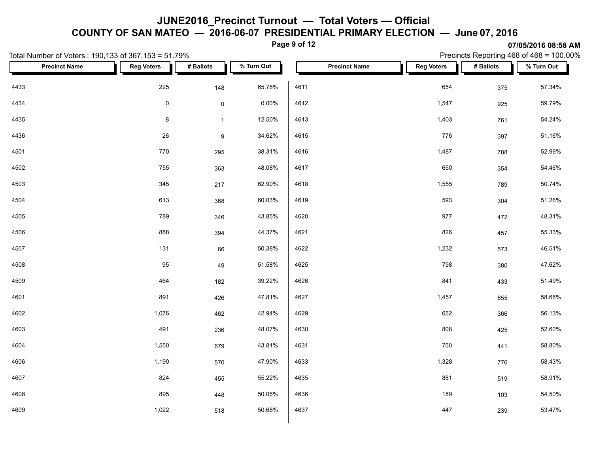**COUNTY OF SAN MATEO — 2016-06-07 PRESIDENTIAL PRIMARY ELECTION — June 07, 2016**

**Page 9 of 12**

|      | Total Number of Voters: 190,133 of 367,153 = 51.79% |                   |                     |            | $1$ ugu v vi 12 |                      |                   |           | <b>UTION STATE OF SOLUT</b><br>Precincts Reporting 468 of 468 = 100.00% |
|------|-----------------------------------------------------|-------------------|---------------------|------------|-----------------|----------------------|-------------------|-----------|-------------------------------------------------------------------------|
|      | <b>Precinct Name</b>                                | <b>Reg Voters</b> | # Ballots           | % Turn Out |                 | <b>Precinct Name</b> | <b>Reg Voters</b> | # Ballots | % Turn Out                                                              |
| 4433 |                                                     | 225               | 148                 | 65.78%     | 4611            |                      | 654               | 375       | 57.34%                                                                  |
| 4434 |                                                     | $\pmb{0}$         | $\mathsf{O}\xspace$ | 0.00%      | 4612            |                      | 1,547             | 925       | 59.79%                                                                  |
| 4435 |                                                     | $\bf 8$           | $\mathbf{1}$        | 12.50%     | 4613            |                      | 1,403             | 761       | 54.24%                                                                  |
| 4436 |                                                     | 26                | $\boldsymbol{9}$    | 34.62%     | 4615            |                      | 776               | 397       | 51.16%                                                                  |
| 4501 |                                                     | 770               | 295                 | 38.31%     | 4616            |                      | 1,487             | 788       | 52.99%                                                                  |
| 4502 |                                                     | 755               | 363                 | 48.08%     | 4617            |                      | 650               | 354       | 54.46%                                                                  |
| 4503 |                                                     | 345               | 217                 | 62.90%     | 4618            |                      | 1,555             | 789       | 50.74%                                                                  |
| 4504 |                                                     | 613               | 368                 | 60.03%     | 4619            |                      | 593               | 304       | 51.26%                                                                  |
| 4505 |                                                     | 789               | 346                 | 43.85%     | 4620            |                      | 977               | 472       | 48.31%                                                                  |
| 4506 |                                                     | 888               | 394                 | 44.37%     | 4621            |                      | 826               | 457       | 55.33%                                                                  |
| 4507 |                                                     | 131               | 66                  | 50.38%     | 4622            |                      | 1,232             | 573       | 46.51%                                                                  |
| 4508 |                                                     | 95                | 49                  | 51.58%     | 4625            |                      | 798               | 380       | 47.62%                                                                  |
| 4509 |                                                     | 464               | 182                 | 39.22%     | 4626            |                      | 841               | 433       | 51.49%                                                                  |
| 4601 |                                                     | 891               | 426                 | 47.81%     | 4627            |                      | 1,457             | 855       | 58.68%                                                                  |
| 4602 |                                                     | 1,076             | 462                 | 42.94%     | 4629            |                      | 652               | 366       | 56.13%                                                                  |
| 4603 |                                                     | 491               | 236                 | 48.07%     | 4630            |                      | 808               | 425       | 52.60%                                                                  |
| 4604 |                                                     | 1,550             | 679                 | 43.81%     | 4631            |                      | 750               | 441       | 58.80%                                                                  |
| 4606 |                                                     | 1,190             | 570                 | 47.90%     | 4633            |                      | 1,328             | 776       | 58.43%                                                                  |
| 4607 |                                                     | 824               | 455                 | 55.22%     | 4635            |                      | 881               | 519       | 58.91%                                                                  |
| 4608 |                                                     | 895               | 448                 | 50.06%     | 4636            |                      | 189               | 103       | 54.50%                                                                  |
| 4609 |                                                     | 1,022             | 518                 | 50.68%     | 4637            |                      | 447               | 239       | 53.47%                                                                  |
|      |                                                     |                   |                     |            |                 |                      |                   |           |                                                                         |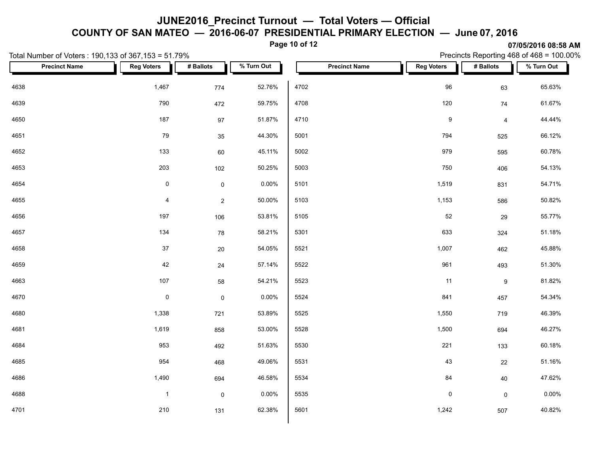**COUNTY OF SAN MATEO — 2016-06-07 PRESIDENTIAL PRIMARY ELECTION — June 07, 2016**

**Page 10 of 12**

|      | Total Number of Voters: 190,133 of 367,153 = 51.79% | 3119912918930197111<br>Precincts Reporting 468 of 468 = 100.00% |                     |            |      |                      |                   |                |            |
|------|-----------------------------------------------------|-----------------------------------------------------------------|---------------------|------------|------|----------------------|-------------------|----------------|------------|
|      | <b>Precinct Name</b>                                | <b>Reg Voters</b>                                               | # Ballots           | % Turn Out |      | <b>Precinct Name</b> | <b>Reg Voters</b> | # Ballots      | % Turn Out |
| 4638 |                                                     | 1,467                                                           | 774                 | 52.76%     | 4702 |                      | 96                | 63             | 65.63%     |
| 4639 |                                                     | 790                                                             | 472                 | 59.75%     | 4708 |                      | 120               | 74             | 61.67%     |
| 4650 |                                                     | 187                                                             | $97\,$              | 51.87%     | 4710 |                      | $\boldsymbol{9}$  | $\overline{4}$ | 44.44%     |
| 4651 |                                                     | 79                                                              | 35                  | 44.30%     | 5001 |                      | 794               | 525            | 66.12%     |
| 4652 |                                                     | 133                                                             | $60\,$              | 45.11%     | 5002 |                      | 979               | 595            | 60.78%     |
| 4653 |                                                     | 203                                                             | 102                 | 50.25%     | 5003 |                      | 750               | 406            | 54.13%     |
| 4654 |                                                     | $\mathsf{O}\xspace$                                             | $\mathsf{O}\xspace$ | 0.00%      | 5101 |                      | 1,519             | 831            | 54.71%     |
| 4655 |                                                     | $\overline{\mathbf{4}}$                                         | $\overline{c}$      | 50.00%     | 5103 |                      | 1,153             | 586            | 50.82%     |
| 4656 |                                                     | 197                                                             | 106                 | 53.81%     | 5105 |                      | 52                | 29             | 55.77%     |
| 4657 |                                                     | 134                                                             | 78                  | 58.21%     | 5301 |                      | 633               | 324            | 51.18%     |
| 4658 |                                                     | $37\,$                                                          | 20                  | 54.05%     | 5521 |                      | 1,007             | 462            | 45.88%     |
| 4659 |                                                     | 42                                                              | 24                  | 57.14%     | 5522 |                      | 961               | 493            | 51.30%     |
| 4663 |                                                     | $107$                                                           | 58                  | 54.21%     | 5523 |                      | 11                | $9\,$          | 81.82%     |
| 4670 |                                                     | $\mathbf 0$                                                     | $\pmb{0}$           | 0.00%      | 5524 |                      | 841               | 457            | 54.34%     |
| 4680 |                                                     | 1,338                                                           | 721                 | 53.89%     | 5525 |                      | 1,550             | 719            | 46.39%     |
| 4681 |                                                     | 1,619                                                           | 858                 | 53.00%     | 5528 |                      | 1,500             | 694            | 46.27%     |
| 4684 |                                                     | 953                                                             | 492                 | 51.63%     | 5530 |                      | 221               | 133            | 60.18%     |
| 4685 |                                                     | 954                                                             | 468                 | 49.06%     | 5531 |                      | 43                | 22             | 51.16%     |
| 4686 |                                                     | 1,490                                                           | 694                 | 46.58%     | 5534 |                      | 84                | 40             | 47.62%     |
| 4688 |                                                     | $\mathbf{1}$                                                    | $\mathsf 0$         | 0.00%      | 5535 |                      | $\mathsf 0$       | $\mathsf{O}$   | $0.00\%$   |
| 4701 |                                                     | 210                                                             | 131                 | 62.38%     | 5601 |                      | 1,242             | 507            | 40.82%     |
|      |                                                     |                                                                 |                     |            |      |                      |                   |                |            |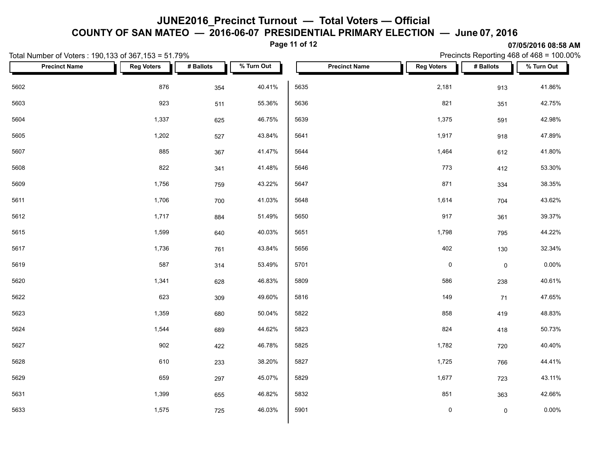#### **COUNTY OF SAN MATEO — 2016-06-07 PRESIDENTIAL PRIMARY ELECTION — June 07, 2016**

**Page 11 of 12**

| Total Number of Voters: 190,133 of 367,153 = 51.79% |                   |           |            | Precincts Reporting 468 of 468 = 100.00% |                     |                     |            |  |  |  |
|-----------------------------------------------------|-------------------|-----------|------------|------------------------------------------|---------------------|---------------------|------------|--|--|--|
| <b>Precinct Name</b>                                | <b>Reg Voters</b> | # Ballots | % Turn Out | <b>Precinct Name</b>                     | <b>Reg Voters</b>   | # Ballots           | % Turn Out |  |  |  |
| 5602                                                | 876               | 354       | 40.41%     | 5635                                     | 2,181               | 913                 | 41.86%     |  |  |  |
| 5603                                                | 923               | 511       | 55.36%     | 5636                                     | 821                 | 351                 | 42.75%     |  |  |  |
| 5604                                                | 1,337             | 625       | 46.75%     | 5639                                     | 1,375               | 591                 | 42.98%     |  |  |  |
| 5605                                                | 1,202             | 527       | 43.84%     | 5641                                     | 1,917               | 918                 | 47.89%     |  |  |  |
| 5607                                                | 885               | 367       | 41.47%     | 5644                                     | 1,464               | 612                 | 41.80%     |  |  |  |
| 5608                                                | 822               | 341       | 41.48%     | 5646                                     | 773                 | 412                 | 53.30%     |  |  |  |
| 5609                                                | 1,756             | 759       | 43.22%     | 5647                                     | 871                 | 334                 | 38.35%     |  |  |  |
| 5611                                                | 1,706             | 700       | 41.03%     | 5648                                     | 1,614               | 704                 | 43.62%     |  |  |  |
| 5612                                                | 1,717             | 884       | 51.49%     | 5650                                     | 917                 | 361                 | 39.37%     |  |  |  |
| 5615                                                | 1,599             | 640       | 40.03%     | 5651                                     | 1,798               | 795                 | 44.22%     |  |  |  |
| 5617                                                | 1,736             | 761       | 43.84%     | 5656                                     | 402                 | 130                 | 32.34%     |  |  |  |
| 5619                                                | 587               | 314       | 53.49%     | 5701                                     | $\mathsf{O}\xspace$ | $\mathsf{O}\xspace$ | $0.00\%$   |  |  |  |
| 5620                                                | 1,341             | 628       | 46.83%     | 5809                                     | 586                 | 238                 | 40.61%     |  |  |  |
| 5622                                                | 623               | 309       | 49.60%     | 5816                                     | 149                 | 71                  | 47.65%     |  |  |  |
| 5623                                                | 1,359             | 680       | 50.04%     | 5822                                     | 858                 | 419                 | 48.83%     |  |  |  |
| 5624                                                | 1,544             | 689       | 44.62%     | 5823                                     | 824                 | 418                 | 50.73%     |  |  |  |
| 5627                                                | 902               | 422       | 46.78%     | 5825                                     | 1,782               | 720                 | 40.40%     |  |  |  |
| 5628                                                | 610               | 233       | 38.20%     | 5827                                     | 1,725               | 766                 | 44.41%     |  |  |  |
| 5629                                                | 659               | 297       | 45.07%     | 5829                                     | 1,677               | 723                 | 43.11%     |  |  |  |
| 5631                                                | 1,399             | 655       | 46.82%     | 5832                                     | 851                 | 363                 | 42.66%     |  |  |  |
| 5633                                                | 1,575             | 725       | 46.03%     | 5901                                     | $\mathbf 0$         | $\mathsf{O}\xspace$ | $0.00\%$   |  |  |  |
|                                                     |                   |           |            |                                          |                     |                     |            |  |  |  |